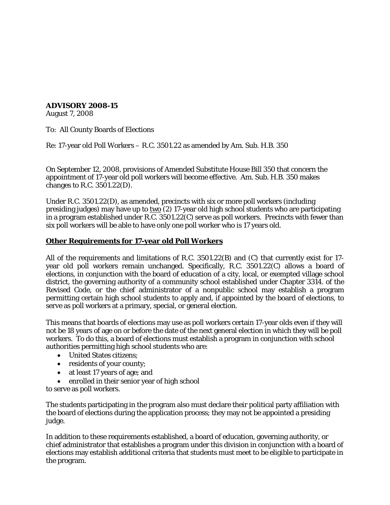## **ADVISORY 2008-15**

August 7, 2008

To: All County Boards of Elections

Re: 17-year old Poll Workers – R.C. 3501.22 as amended by Am. Sub. H.B. 350

On September 12, 2008, provisions of Amended Substitute House Bill 350 that concern the appointment of 17-year old poll workers will become effective. Am. Sub. H.B. 350 makes changes to R.C. 3501.22(D).

Under R.C. 3501.22(D), as amended, precincts with six or more poll workers (including presiding judges) may have up to  $\underline{two}$  (2) 17-year old high school students who are participating in a program established under R.C. 3501.22(C) serve as poll workers. Precincts with fewer than six poll workers will be able to have only one poll worker who is 17 years old.

## **Other Requirements for 17-year old Poll Workers**

All of the requirements and limitations of R.C. 3501.22(B) and (C) that currently exist for 17 year old poll workers remain unchanged. Specifically, R.C. 3501.22(C) allows a board of elections, in conjunction with the board of education of a city, local, or exempted village school district, the governing authority of a community school established under Chapter 3314. of the Revised Code, or the chief administrator of a nonpublic school may establish a program permitting certain high school students to apply and, if appointed by the board of elections, to serve as poll workers at a primary, special, or general election.

This means that boards of elections may use as poll workers certain 17-year olds even if they will not be 18 years of age on or before the date of the next general election in which they will be poll workers. To do this, a board of elections must establish a program in conjunction with school authorities permitting high school students who are:

- United States citizens;
- residents of your county;
- at least 17 years of age; and
- enrolled in their senior year of high school

to serve as poll workers.

The students participating in the program also must declare their political party affiliation with the board of elections during the application process; they may not be appointed a presiding judge.

In addition to these requirements established, a board of education, governing authority, or chief administrator that establishes a program under this division in conjunction with a board of elections may establish additional criteria that students must meet to be eligible to participate in the program.